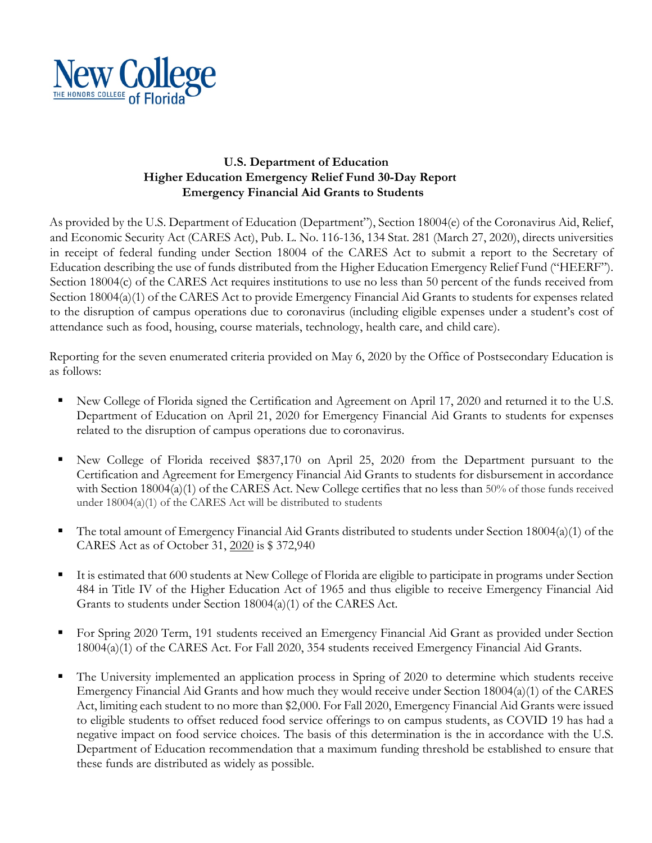

## **U.S. Department of Education Higher Education Emergency Relief Fund 30-Day Report Emergency Financial Aid Grants to Students**

As provided by the U.S. Department of Education (Department"), Section 18004(e) of the Coronavirus Aid, Relief, and Economic Security Act (CARES Act), Pub. L. No. 116-136, 134 Stat. 281 (March 27, 2020), directs universities in receipt of federal funding under Section 18004 of the CARES Act to submit a report to the Secretary of Education describing the use of funds distributed from the Higher Education Emergency Relief Fund ("HEERF"). Section 18004(c) of the CARES Act requires institutions to use no less than 50 percent of the funds received from Section 18004(a)(1) of the CARES Act to provide Emergency Financial Aid Grants to students for expenses related to the disruption of campus operations due to coronavirus (including eligible expenses under a student's cost of attendance such as food, housing, course materials, technology, health care, and child care).

Reporting for the seven enumerated criteria provided on May 6, 2020 by the Office of Postsecondary Education is as follows:

- § New College of Florida signed the Certification and Agreement on April 17, 2020 and returned it to the U.S. Department of Education on April 21, 2020 for Emergency Financial Aid Grants to students for expenses related to the disruption of campus operations due to coronavirus.
- § New College of Florida received \$837,170 on April 25, 2020 from the Department pursuant to the Certification and Agreement for Emergency Financial Aid Grants to students for disbursement in accordance with Section 18004(a)(1) of the CARES Act. New College certifies that no less than 50% of those funds received under 18004(a)(1) of the CARES Act will be distributed to students
- § The total amount of Emergency Financial Aid Grants distributed to students under Section 18004(a)(1) of the CARES Act as of October 31, 2020 is \$ 372,940
- It is estimated that 600 students at New College of Florida are eligible to participate in programs under Section 484 in Title IV of the Higher Education Act of 1965 and thus eligible to receive Emergency Financial Aid Grants to students under Section 18004(a)(1) of the CARES Act.
- For Spring 2020 Term, 191 students received an Emergency Financial Aid Grant as provided under Section 18004(a)(1) of the CARES Act. For Fall 2020, 354 students received Emergency Financial Aid Grants.
- The University implemented an application process in Spring of 2020 to determine which students receive Emergency Financial Aid Grants and how much they would receive under Section 18004(a)(1) of the CARES Act, limiting each student to no more than \$2,000. For Fall 2020, Emergency Financial Aid Grants were issued to eligible students to offset reduced food service offerings to on campus students, as COVID 19 has had a negative impact on food service choices. The basis of this determination is the in accordance with the U.S. Department of Education recommendation that a maximum funding threshold be established to ensure that these funds are distributed as widely as possible.